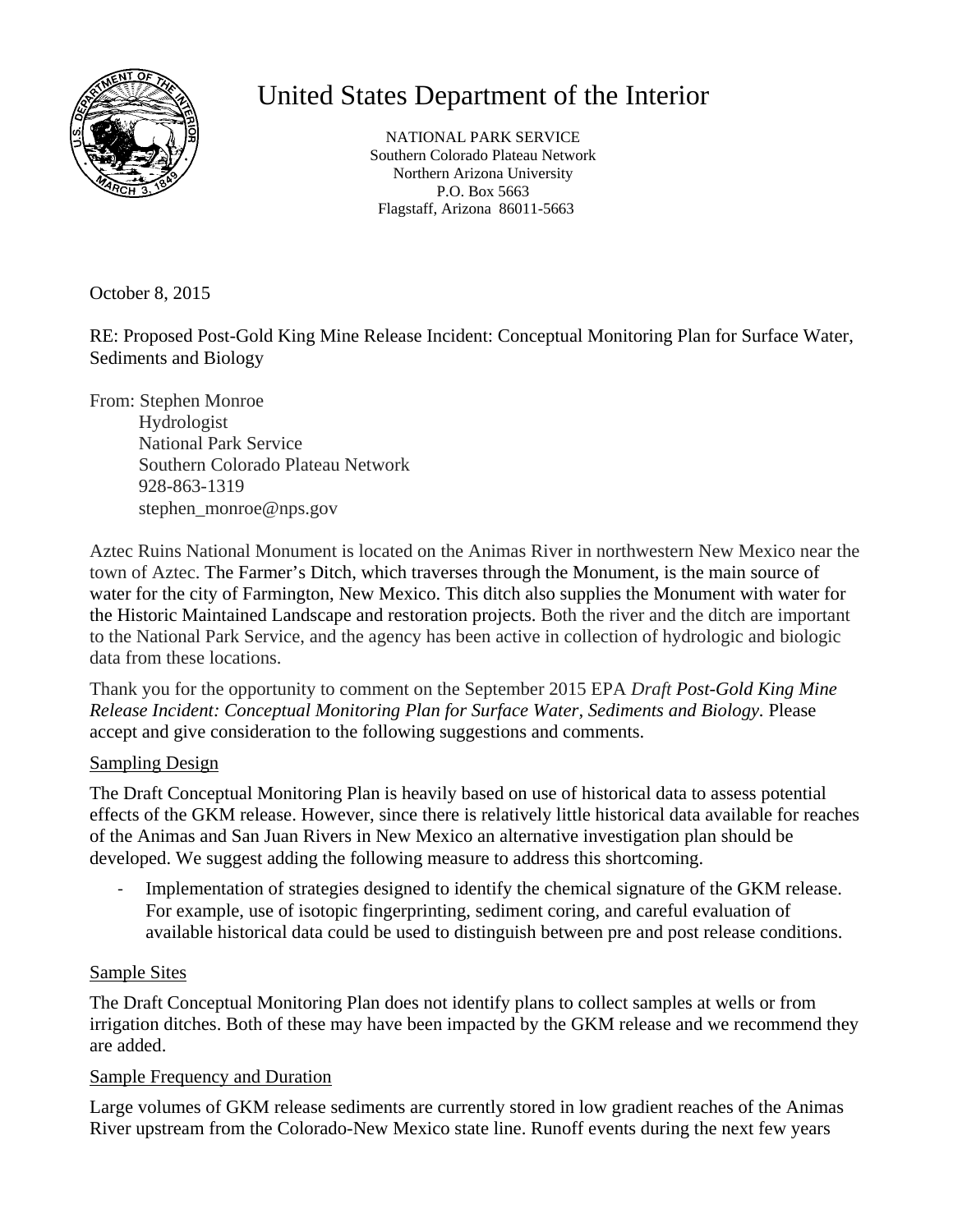

# United States Department of the Interior

 Southern Colorado Plateau Network NATIONAL PARK SERVICE Northern Arizona University P.O. Box 5663 Flagstaff, Arizona 86011-5663

October 8, 2015

RE: Proposed Post-Gold King Mine Release Incident: Conceptual Monitoring Plan for Surface Water, Sediments and Biology

From: Stephen Monroe Hydrologist National Park Service Southern Colorado Plateau Network 928-863-1319 stephen\_monroe@nps.gov

Aztec Ruins National Monument is located on the Animas River in northwestern New Mexico near the town of Aztec. The Farmer's Ditch, which traverses through the Monument, is the main source of water for the city of Farmington, New Mexico. This ditch also supplies the Monument with water for the Historic Maintained Landscape and restoration projects. Both the river and the ditch are important to the National Park Service, and the agency has been active in collection of hydrologic and biologic data from these locations.

Thank you for the opportunity to comment on the September 2015 EPA *Draft Post-Gold King Mine Release Incident: Conceptual Monitoring Plan for Surface Water, Sediments and Biology.* Please accept and give consideration to the following suggestions and comments.

#### Sampling Design

The Draft Conceptual Monitoring Plan is heavily based on use of historical data to assess potential effects of the GKM release. However, since there is relatively little historical data available for reaches of the Animas and San Juan Rivers in New Mexico an alternative investigation plan should be developed. We suggest adding the following measure to address this shortcoming.

‐ Implementation of strategies designed to identify the chemical signature of the GKM release. For example, use of isotopic fingerprinting, sediment coring, and careful evaluation of available historical data could be used to distinguish between pre and post release conditions.

#### Sample Sites

The Draft Conceptual Monitoring Plan does not identify plans to collect samples at wells or from irrigation ditches. Both of these may have been impacted by the GKM release and we recommend they are added.

#### Sample Frequency and Duration

Large volumes of GKM release sediments are currently stored in low gradient reaches of the Animas River upstream from the Colorado-New Mexico state line. Runoff events during the next few years